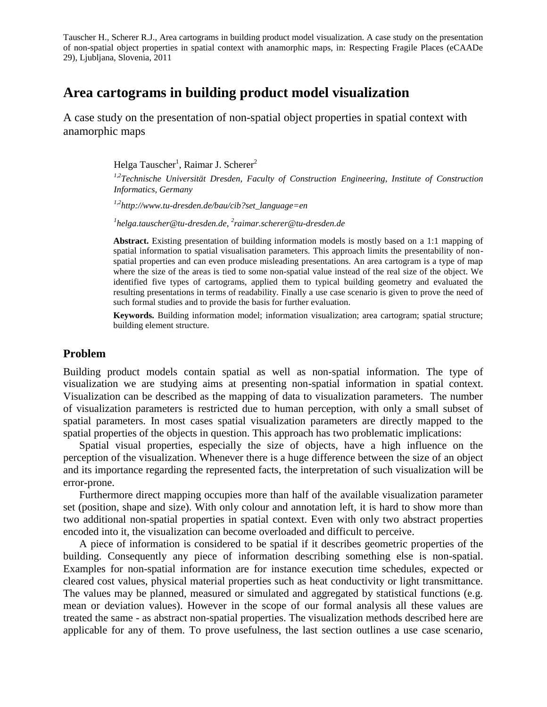# **Area cartograms in building product model visualization**

A case study on the presentation of non-spatial object properties in spatial context with anamorphic maps

Helga Tauscher<sup>1</sup>, Raimar J. Scherer<sup>2</sup>

*1,2Technische Universität Dresden, Faculty of Construction Engineering, Institute of Construction Informatics, Germany*

*1,2http://www.tu-dresden.de/bau/cib?set\_language=en*

*1 helga.tauscher@tu-dresden.de, 2 raimar.scherer@tu-dresden.de*

**Abstract.** Existing presentation of building information models is mostly based on a 1:1 mapping of spatial information to spatial visualisation parameters. This approach limits the presentability of nonspatial properties and can even produce misleading presentations. An area cartogram is a type of map where the size of the areas is tied to some non-spatial value instead of the real size of the object. We identified five types of cartograms, applied them to typical building geometry and evaluated the resulting presentations in terms of readability. Finally a use case scenario is given to prove the need of such formal studies and to provide the basis for further evaluation.

**Keywords.** Building information model; information visualization; area cartogram; spatial structure; building element structure.

#### **Problem**

Building product models contain spatial as well as non-spatial information. The type of visualization we are studying aims at presenting non-spatial information in spatial context. Visualization can be described as the mapping of data to visualization parameters. The number of visualization parameters is restricted due to human perception, with only a small subset of spatial parameters. In most cases spatial visualization parameters are directly mapped to the spatial properties of the objects in question. This approach has two problematic implications:

Spatial visual properties, especially the size of objects, have a high influence on the perception of the visualization. Whenever there is a huge difference between the size of an object and its importance regarding the represented facts, the interpretation of such visualization will be error-prone.

Furthermore direct mapping occupies more than half of the available visualization parameter set (position, shape and size). With only colour and annotation left, it is hard to show more than two additional non-spatial properties in spatial context. Even with only two abstract properties encoded into it, the visualization can become overloaded and difficult to perceive.

A piece of information is considered to be spatial if it describes geometric properties of the building. Consequently any piece of information describing something else is non-spatial. Examples for non-spatial information are for instance execution time schedules, expected or cleared cost values, physical material properties such as heat conductivity or light transmittance. The values may be planned, measured or simulated and aggregated by statistical functions (e.g. mean or deviation values). However in the scope of our formal analysis all these values are treated the same - as abstract non-spatial properties. The visualization methods described here are applicable for any of them. To prove usefulness, the last section outlines a use case scenario,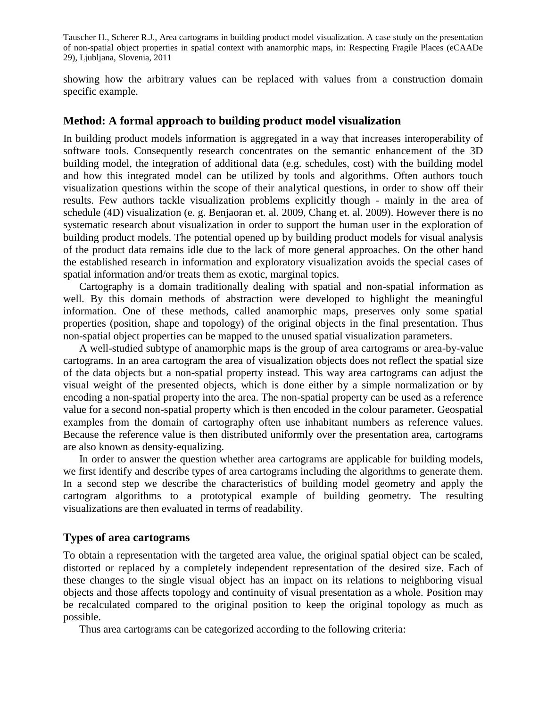showing how the arbitrary values can be replaced with values from a construction domain specific example.

### **Method: A formal approach to building product model visualization**

In building product models information is aggregated in a way that increases interoperability of software tools. Consequently research concentrates on the semantic enhancement of the 3D building model, the integration of additional data (e.g. schedules, cost) with the building model and how this integrated model can be utilized by tools and algorithms. Often authors touch visualization questions within the scope of their analytical questions, in order to show off their results. Few authors tackle visualization problems explicitly though - mainly in the area of schedule (4D) visualization (e. g. Benjaoran et. al. 2009, Chang et. al. 2009). However there is no systematic research about visualization in order to support the human user in the exploration of building product models. The potential opened up by building product models for visual analysis of the product data remains idle due to the lack of more general approaches. On the other hand the established research in information and exploratory visualization avoids the special cases of spatial information and/or treats them as exotic, marginal topics.

Cartography is a domain traditionally dealing with spatial and non-spatial information as well. By this domain methods of abstraction were developed to highlight the meaningful information. One of these methods, called anamorphic maps, preserves only some spatial properties (position, shape and topology) of the original objects in the final presentation. Thus non-spatial object properties can be mapped to the unused spatial visualization parameters.

A well-studied subtype of anamorphic maps is the group of area cartograms or area-by-value cartograms. In an area cartogram the area of visualization objects does not reflect the spatial size of the data objects but a non-spatial property instead. This way area cartograms can adjust the visual weight of the presented objects, which is done either by a simple normalization or by encoding a non-spatial property into the area. The non-spatial property can be used as a reference value for a second non-spatial property which is then encoded in the colour parameter. Geospatial examples from the domain of cartography often use inhabitant numbers as reference values. Because the reference value is then distributed uniformly over the presentation area, cartograms are also known as density-equalizing.

In order to answer the question whether area cartograms are applicable for building models, we first identify and describe types of area cartograms including the algorithms to generate them. In a second step we describe the characteristics of building model geometry and apply the cartogram algorithms to a prototypical example of building geometry. The resulting visualizations are then evaluated in terms of readability.

### **Types of area cartograms**

To obtain a representation with the targeted area value, the original spatial object can be scaled, distorted or replaced by a completely independent representation of the desired size. Each of these changes to the single visual object has an impact on its relations to neighboring visual objects and those affects topology and continuity of visual presentation as a whole. Position may be recalculated compared to the original position to keep the original topology as much as possible.

Thus area cartograms can be categorized according to the following criteria: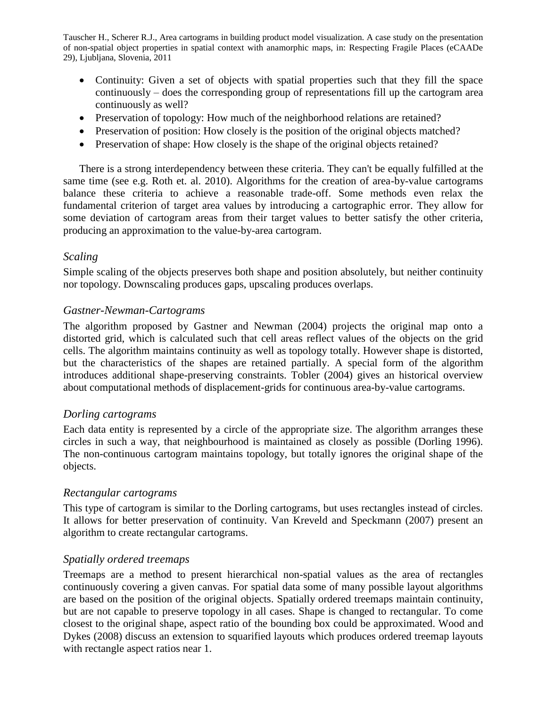- Continuity: Given a set of objects with spatial properties such that they fill the space continuously – does the corresponding group of representations fill up the cartogram area continuously as well?
- Preservation of topology: How much of the neighborhood relations are retained?
- Preservation of position: How closely is the position of the original objects matched?
- Preservation of shape: How closely is the shape of the original objects retained?

There is a strong [interdependency](http://dict.leo.org/ende?lp=ende&p=Ci4HO3kMAA&search=interdependency&trestr=0x8001) between these criteria. They can't be equally fulfilled at the same time (see e.g. Roth et. al. 2010). Algorithms for the creation of area-by-value cartograms balance these criteria to achieve a reasonable trade-off. Some methods even relax the fundamental criterion of target area values by introducing a cartographic error. They allow for some deviation of cartogram areas from their target values to better satisfy the other criteria, producing an approximation to the value-by-area cartogram.

### *Scaling*

Simple scaling of the objects preserves both shape and position absolutely, but neither continuity nor topology. Downscaling produces gaps, upscaling produces overlaps.

# *Gastner-Newman-Cartograms*

The algorithm proposed by Gastner and Newman (2004) projects the original map onto a distorted grid, which is calculated such that cell areas reflect values of the objects on the grid cells. The algorithm maintains continuity as well as topology totally. However shape is distorted, but the characteristics of the shapes are retained partially. A special form of the algorithm introduces additional shape-preserving constraints. Tobler (2004) gives an historical overview about computational methods of displacement-grids for continuous area-by-value cartograms.

### *Dorling cartograms*

Each data entity is represented by a circle of the appropriate size. The algorithm arranges these circles in such a way, that neighbourhood is maintained as closely as possible (Dorling 1996). The non-continuous cartogram maintains topology, but totally ignores the original shape of the objects.

### *Rectangular cartograms*

This type of cartogram is similar to the Dorling cartograms, but uses rectangles instead of circles. It allows for better preservation of continuity. Van Kreveld and Speckmann (2007) present an algorithm to create rectangular cartograms.

### *Spatially ordered treemaps*

Treemaps are a method to present hierarchical non-spatial values as the area of rectangles continuously covering a given canvas. For spatial data some of many possible layout algorithms are based on the position of the original objects. Spatially ordered treemaps maintain continuity, but are not capable to preserve topology in all cases. Shape is changed to rectangular. To come closest to the original shape, aspect ratio of the bounding box could be approximated. Wood and Dykes (2008) discuss an extension to squarified layouts which produces ordered treemap layouts with rectangle aspect ratios near 1.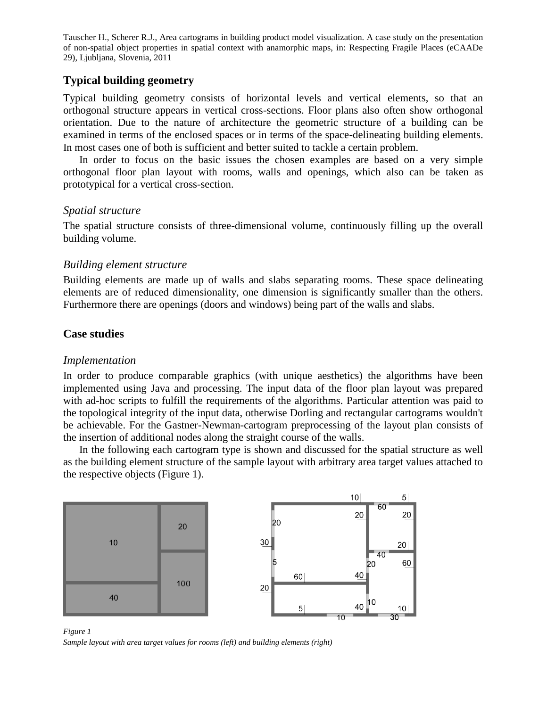# **Typical building geometry**

Typical building geometry consists of horizontal levels and vertical elements, so that an orthogonal structure appears in vertical cross-sections. Floor plans also often show orthogonal orientation. Due to the nature of architecture the geometric structure of a building can be examined in terms of the enclosed spaces or in terms of the space-delineating building elements. In most cases one of both is sufficient and better suited to tackle a certain problem.

In order to focus on the basic issues the chosen examples are based on a very simple orthogonal floor plan layout with rooms, walls and openings, which also can be taken as prototypical for a vertical cross-section.

### *Spatial structure*

The spatial structure consists of three-dimensional volume, continuously filling up the overall building volume.

### *Building element structure*

Building elements are made up of walls and slabs separating rooms. These space delineating elements are of reduced dimensionality, one dimension is significantly smaller than the others. Furthermore there are openings (doors and windows) being part of the walls and slabs.

### **Case studies**

### *Implementation*

In order to produce comparable graphics (with unique aesthetics) the algorithms have been implemented using Java and processing. The input data of the floor plan layout was prepared with ad-hoc scripts to fulfill the requirements of the algorithms. Particular attention was paid to the topological integrity of the input data, otherwise Dorling and rectangular cartograms wouldn't be achievable. For the Gastner-Newman-cartogram preprocessing of the layout plan consists of the insertion of additional nodes along the straight course of the walls.

In the following each cartogram type is shown and discussed for the spatial structure as well as the building element structure of the sample layout with arbitrary area target values attached to the respective objects (Figure 1).



*Figure 1 Sample layout with area target values for rooms (left) and building elements (right)*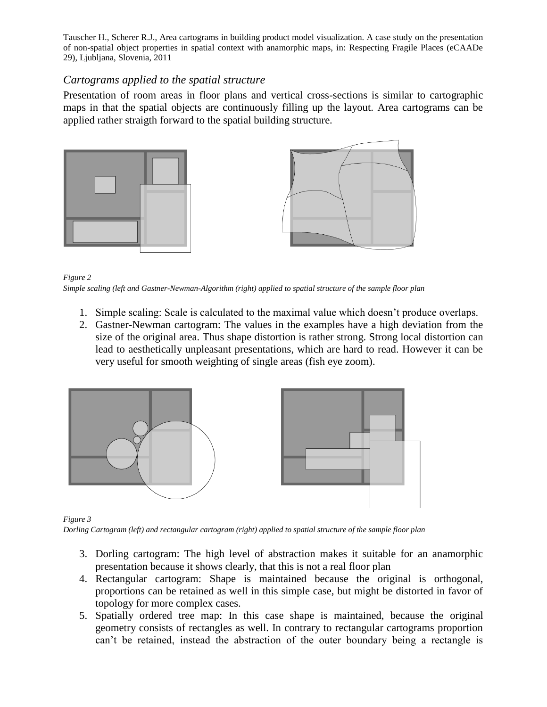### *Cartograms applied to the spatial structure*

Presentation of room areas in floor plans and vertical cross-sections is similar to cartographic maps in that the spatial objects are continuously filling up the layout. Area cartograms can be applied rather straigth forward to the spatial building structure.





#### *Figure 2*

*Simple scaling (left and Gastner-Newman-Algorithm (right) applied to spatial structure of the sample floor plan*

- 1. Simple scaling: Scale is calculated to the maximal value which doesn't produce overlaps.
- 2. Gastner-Newman cartogram: The values in the examples have a high deviation from the size of the original area. Thus shape distortion is rather strong. Strong local distortion can lead to aesthetically unpleasant presentations, which are hard to read. However it can be very useful for smooth weighting of single areas (fish eye zoom).



#### *Figure 3*

*Dorling Cartogram (left) and rectangular cartogram (right) applied to spatial structure of the sample floor plan*

- 3. Dorling cartogram: The high level of abstraction makes it suitable for an anamorphic presentation because it shows clearly, that this is not a real floor plan
- 4. Rectangular cartogram: Shape is maintained because the original is orthogonal, proportions can be retained as well in this simple case, but might be distorted in favor of topology for more complex cases.
- 5. Spatially ordered tree map: In this case shape is maintained, because the original geometry consists of rectangles as well. In contrary to rectangular cartograms proportion can't be retained, instead the abstraction of the outer boundary being a rectangle is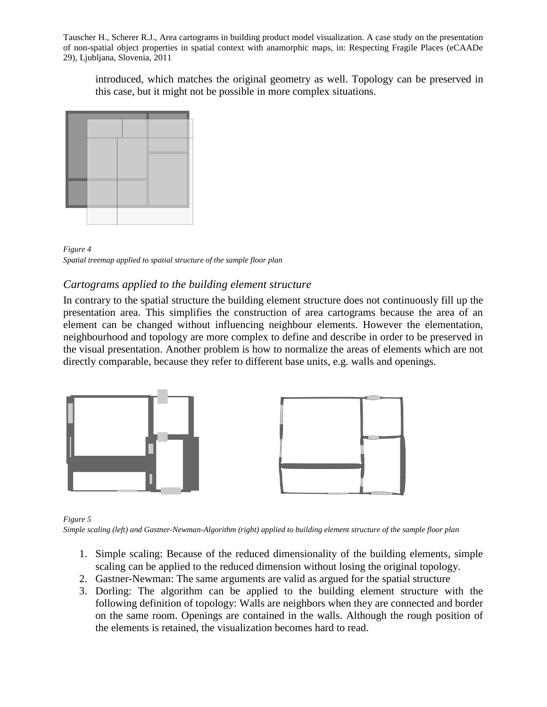introduced, which matches the original geometry as well. Topology can be preserved in this case, but it might not be possible in more complex situations.



*Figure 4 Spatial treemap applied to spatial structure of the sample floor plan*

# *Cartograms applied to the building element structure*

In contrary to the spatial structure the building element structure does not continuously fill up the presentation area. This simplifies the construction of area cartograms because the area of an element can be changed without influencing neighbour elements. However the elementation, neighbourhood and topology are more complex to define and describe in order to be preserved in the visual presentation. Another problem is how to normalize the areas of elements which are not directly comparable, because they refer to different base units, e.g. walls and openings.



*Figure 5*

*Simple scaling (left) and Gastner-Newman-Algorithm (right) applied to building element structure of the sample floor plan*

- 1. Simple scaling: Because of the reduced dimensionality of the building elements, simple scaling can be applied to the reduced dimension without losing the original topology.
- 2. Gastner-Newman: The same arguments are valid as argued for the spatial structure
- 3. Dorling: The algorithm can be applied to the building element structure with the following definition of topology: Walls are neighbors when they are connected and border on the same room. Openings are contained in the walls. Although the rough position of the elements is retained, the visualization becomes hard to read.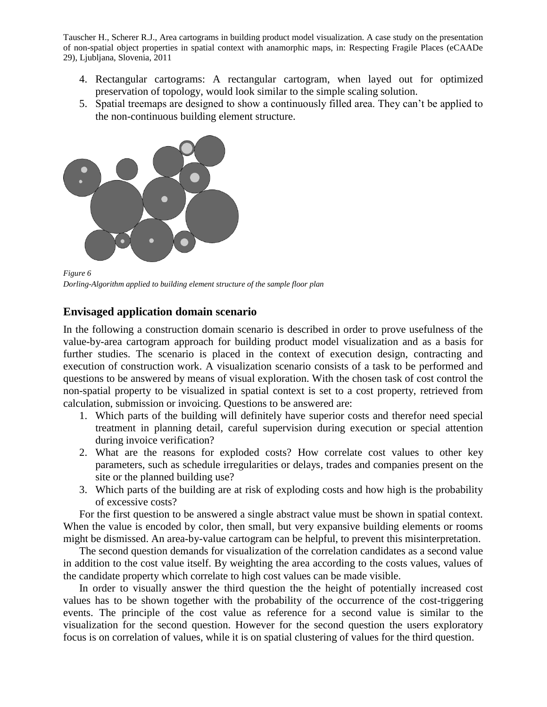- 4. Rectangular cartograms: A rectangular cartogram, when layed out for optimized preservation of topology, would look similar to the simple scaling solution.
- 5. Spatial treemaps are designed to show a continuously filled area. They can't be applied to the non-continuous building element structure.



*Figure 6 Dorling-Algorithm applied to building element structure of the sample floor plan*

# **Envisaged application domain scenario**

In the following a construction domain scenario is described in order to prove usefulness of the value-by-area cartogram approach for building product model visualization and as a basis for further studies. The scenario is placed in the context of execution design, contracting and execution of construction work. A visualization scenario consists of a task to be performed and questions to be answered by means of visual exploration. With the chosen task of cost control the non-spatial property to be visualized in spatial context is set to a cost property, retrieved from calculation, submission or invoicing. Questions to be answered are:

- 1. Which parts of the building will definitely have superior costs and therefor need special treatment in planning detail, careful supervision during execution or special attention during invoice verification?
- 2. What are the reasons for exploded costs? How correlate cost values to other key parameters, such as schedule irregularities or delays, trades and companies present on the site or the planned building use?
- 3. Which parts of the building are at risk of exploding costs and how high is the probability of excessive costs?

For the first question to be answered a single abstract value must be shown in spatial context. When the value is encoded by color, then small, but very expansive building elements or rooms might be dismissed. An area-by-value cartogram can be helpful, to prevent this misinterpretation.

The second question demands for visualization of the correlation candidates as a second value in addition to the cost value itself. By weighting the area according to the costs values, values of the candidate property which correlate to high cost values can be made visible.

In order to visually answer the third question the the height of potentially increased cost values has to be shown together with the probability of the occurrence of the cost-triggering events. The principle of the cost value as reference for a second value is similar to the visualization for the second question. However for the second question the users exploratory focus is on correlation of values, while it is on spatial clustering of values for the third question.